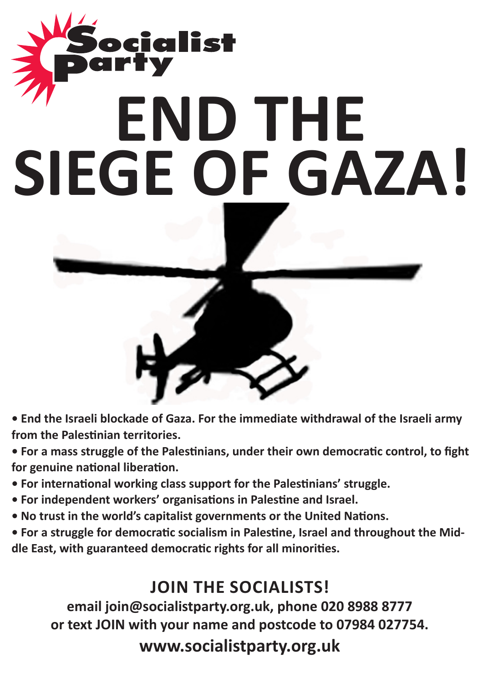# cialist **END THE SIEGE OF GAZA!**



**• For a mass struggle of the Palestinians, under their own democratic control, to fight for genuine national liberation.**

- **For international working class support for the Palestinians' struggle.**
- **For independent workers' organisations in Palestine and Israel.**
- **No trust in the world's capitalist governments or the United Nations.**

**• For a struggle for democratic socialism in Palestine, Israel and throughout the Middle East, with guaranteed democratic rights for all minorities.**

# **Join the socialists!**

**email join@socialistparty.org.uk, phone 020 8988 8777 or text JOIN with your name and postcode to 07984 027754. www.socialistparty.org.uk**